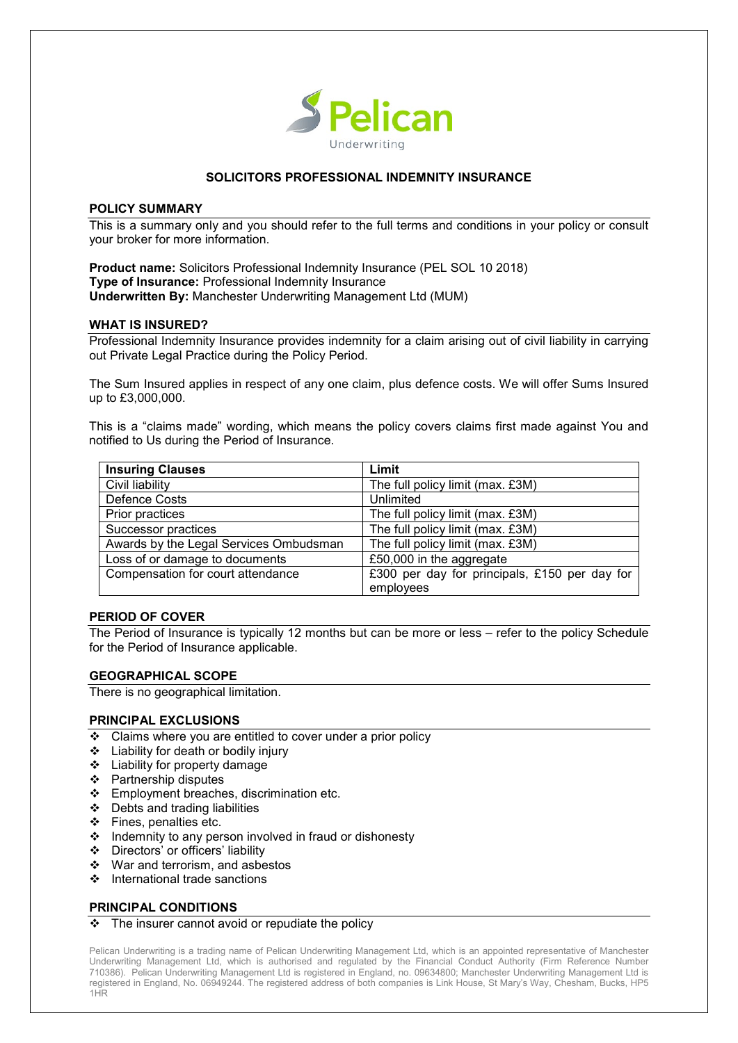

# **SOLICITORS PROFESSIONAL INDEMNITY INSURANCE**

#### **POLICY SUMMARY**

This is a summary only and you should refer to the full terms and conditions in your policy or consult your broker for more information.

**Product name:** Solicitors Professional Indemnity Insurance (PEL SOL 10 2018) **Type of Insurance:** Professional Indemnity Insurance **Underwritten By:** Manchester Underwriting Management Ltd (MUM)

#### **WHAT IS INSURED?**

Professional Indemnity Insurance provides indemnity for a claim arising out of civil liability in carrying out Private Legal Practice during the Policy Period.

The Sum Insured applies in respect of any one claim, plus defence costs. We will offer Sums Insured up to £3,000,000.

This is a "claims made" wording, which means the policy covers claims first made against You and notified to Us during the Period of Insurance.

| <b>Insuring Clauses</b>                | Limit                                         |
|----------------------------------------|-----------------------------------------------|
| Civil liability                        | The full policy limit (max. £3M)              |
| Defence Costs                          | Unlimited                                     |
| Prior practices                        | The full policy limit (max. £3M)              |
| Successor practices                    | The full policy limit (max. £3M)              |
| Awards by the Legal Services Ombudsman | The full policy limit (max. £3M)              |
| Loss of or damage to documents         | £50,000 in the aggregate                      |
| Compensation for court attendance      | £300 per day for principals, £150 per day for |
|                                        | employees                                     |

## **PERIOD OF COVER**

The Period of Insurance is typically 12 months but can be more or less – refer to the policy Schedule for the Period of Insurance applicable.

## **GEOGRAPHICAL SCOPE**

There is no geographical limitation.

## **PRINCIPAL EXCLUSIONS**

- $\div$  Claims where you are entitled to cover under a prior policy
- Liability for death or bodily injury
- ❖ Liability for property damage
- Partnership disputes
- ❖ Employment breaches, discrimination etc.
- Debts and trading liabilities
- ❖ Fines, penalties etc.
- $\div$  Indemnity to any person involved in fraud or dishonesty
- Directors' or officers' liability
- War and terrorism, and asbestos
- ❖ International trade sanctions

## **PRINCIPAL CONDITIONS**

#### $\div$  The insurer cannot avoid or repudiate the policy

Pelican Underwriting is a trading name of Pelican Underwriting Management Ltd, which is an appointed representative of Manchester Underwriting Management Ltd, which is authorised and regulated by the Financial Conduct Authority (Firm Reference Number 710386). Pelican Underwriting Management Ltd is registered in England, no. 09634800; Manchester Underwriting Management Ltd is registered in England, No. 06949244. The registered address of both companies is Link House, St Mary's Way, Chesham, Bucks, HP5 1HR